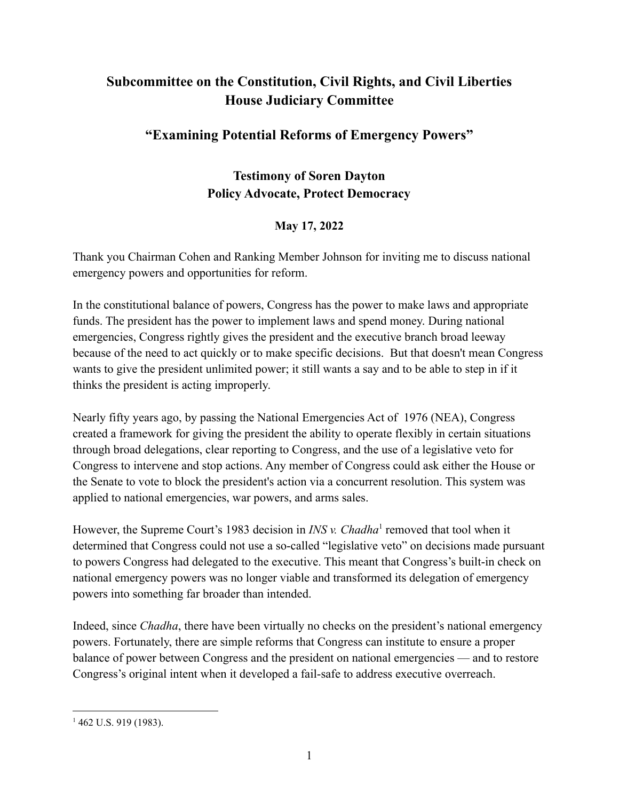# **Subcommittee on the Constitution, Civil Rights, and Civil Liberties House Judiciary Committee**

## **"Examining Potential Reforms of Emergency Powers"**

### **Testimony of Soren Dayton Policy Advocate, Protect Democracy**

### **May 17, 2022**

Thank you Chairman Cohen and Ranking Member Johnson for inviting me to discuss national emergency powers and opportunities for reform.

In the constitutional balance of powers, Congress has the power to make laws and appropriate funds. The president has the power to implement laws and spend money. During national emergencies, Congress rightly gives the president and the executive branch broad leeway because of the need to act quickly or to make specific decisions. But that doesn't mean Congress wants to give the president unlimited power; it still wants a say and to be able to step in if it thinks the president is acting improperly.

Nearly fifty years ago, by passing the National Emergencies Act of 1976 (NEA), Congress created a framework for giving the president the ability to operate flexibly in certain situations through broad delegations, clear reporting to Congress, and the use of a legislative veto for Congress to intervene and stop actions. Any member of Congress could ask either the House or the Senate to vote to block the president's action via a concurrent resolution. This system was applied to national emergencies, war powers, and arms sales.

However, the Supreme Court's 1983 decision in *INS v. Chadha*<sup>1</sup> removed that tool when it determined that Congress could not use a so-called "legislative veto" on decisions made pursuant to powers Congress had delegated to the executive. This meant that Congress's built-in check on national emergency powers was no longer viable and transformed its delegation of emergency powers into something far broader than intended.

Indeed, since *Chadha*, there have been virtually no checks on the president's national emergency powers. Fortunately, there are simple reforms that Congress can institute to ensure a proper balance of power between Congress and the president on national emergencies — and to restore Congress's original intent when it developed a fail-safe to address executive overreach.

 $1462$  U.S. 919 (1983).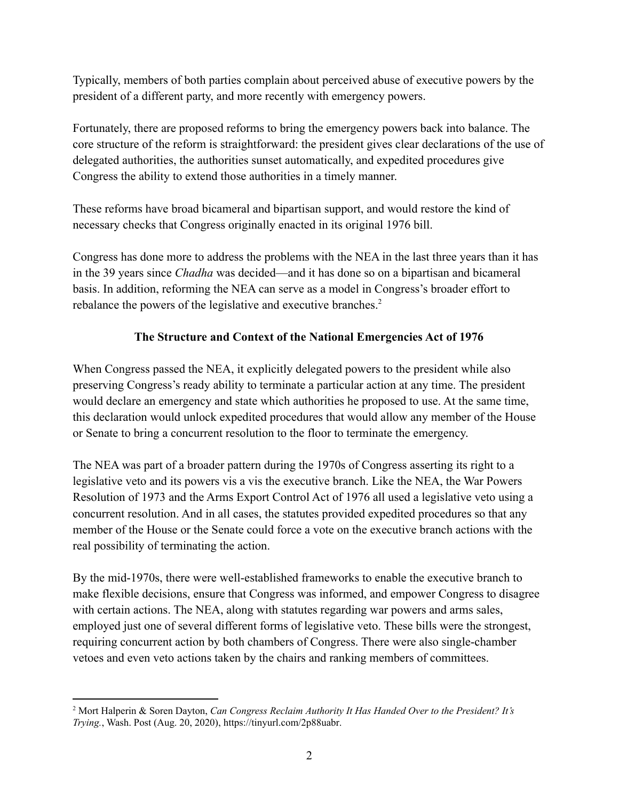Typically, members of both parties complain about perceived abuse of executive powers by the president of a different party, and more recently with emergency powers.

Fortunately, there are proposed reforms to bring the emergency powers back into balance. The core structure of the reform is straightforward: the president gives clear declarations of the use of delegated authorities, the authorities sunset automatically, and expedited procedures give Congress the ability to extend those authorities in a timely manner.

These reforms have broad bicameral and bipartisan support, and would restore the kind of necessary checks that Congress originally enacted in its original 1976 bill.

Congress has done more to address the problems with the NEA in the last three years than it has in the 39 years since *Chadha* was decided—and it has done so on a bipartisan and bicameral basis. In addition, reforming the NEA can serve as a model in Congress's broader effort to rebalance the powers of the legislative and executive branches.<sup>2</sup>

### **The Structure and Context of the National Emergencies Act of 1976**

When Congress passed the NEA, it explicitly delegated powers to the president while also preserving Congress's ready ability to terminate a particular action at any time. The president would declare an emergency and state which authorities he proposed to use. At the same time, this declaration would unlock expedited procedures that would allow any member of the House or Senate to bring a concurrent resolution to the floor to terminate the emergency.

The NEA was part of a broader pattern during the 1970s of Congress asserting its right to a legislative veto and its powers vis a vis the executive branch. Like the NEA, the War Powers Resolution of 1973 and the Arms Export Control Act of 1976 all used a legislative veto using a concurrent resolution. And in all cases, the statutes provided expedited procedures so that any member of the House or the Senate could force a vote on the executive branch actions with the real possibility of terminating the action.

By the mid-1970s, there were well-established frameworks to enable the executive branch to make flexible decisions, ensure that Congress was informed, and empower Congress to disagree with certain actions. The NEA, along with statutes regarding war powers and arms sales, employed just one of several different forms of legislative veto. These bills were the strongest, requiring concurrent action by both chambers of Congress. There were also single-chamber vetoes and even veto actions taken by the chairs and ranking members of committees.

<sup>2</sup> Mort Halperin & Soren Dayton, *Can Congress Reclaim Authority It Has Handed Over to the President? It's Trying.*, Wash. Post (Aug. 20, 2020), [https://tinyurl.com/2p88uabr.](https://tinyurl.com/2p88uabr)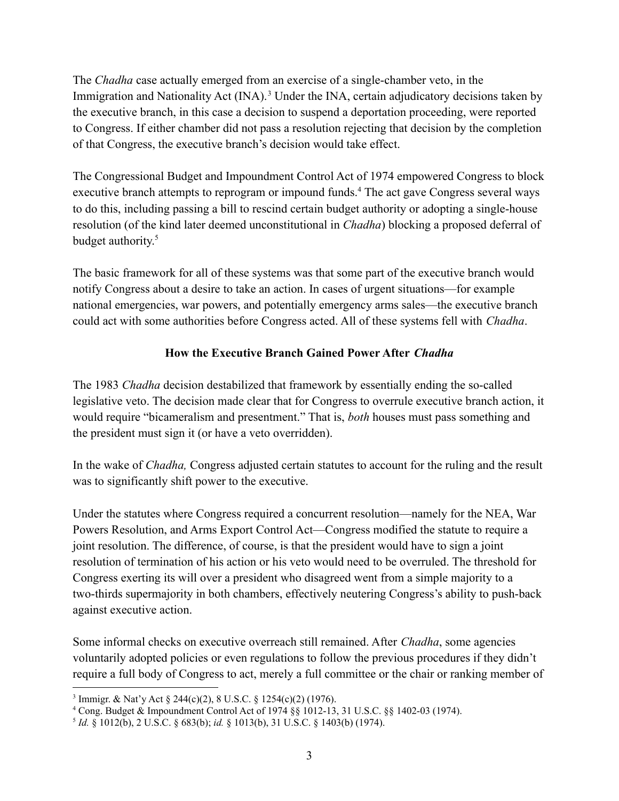The *Chadha* case actually emerged from an exercise of a single-chamber veto, in the Immigration and Nationality Act (INA).<sup>3</sup> Under the INA, certain adjudicatory decisions taken by the executive branch, in this case a decision to suspend a deportation proceeding, were reported to Congress. If either chamber did not pass a resolution rejecting that decision by the completion of that Congress, the executive branch's decision would take effect.

The Congressional Budget and Impoundment Control Act of 1974 empowered Congress to block executive branch attempts to reprogram or impound funds.<sup>4</sup> The act gave Congress several ways to do this, including passing a bill to rescind certain budget authority or adopting a single-house resolution (of the kind later deemed unconstitutional in *Chadha*) blocking a proposed deferral of budget authority. 5

The basic framework for all of these systems was that some part of the executive branch would notify Congress about a desire to take an action. In cases of urgent situations—for example national emergencies, war powers, and potentially emergency arms sales—the executive branch could act with some authorities before Congress acted. All of these systems fell with *Chadha*.

#### **How the Executive Branch Gained Power After** *Chadha*

The 1983 *Chadha* decision destabilized that framework by essentially ending the so-called legislative veto. The decision made clear that for Congress to overrule executive branch action, it would require "bicameralism and presentment." That is, *both* houses must pass something and the president must sign it (or have a veto overridden).

In the wake of *Chadha,* Congress adjusted certain statutes to account for the ruling and the result was to significantly shift power to the executive.

Under the statutes where Congress required a concurrent resolution—namely for the NEA, War Powers Resolution, and Arms Export Control Act—Congress modified the statute to require a joint resolution. The difference, of course, is that the president would have to sign a joint resolution of termination of his action or his veto would need to be overruled. The threshold for Congress exerting its will over a president who disagreed went from a simple majority to a two-thirds supermajority in both chambers, effectively neutering Congress's ability to push-back against executive action.

Some informal checks on executive overreach still remained. After *Chadha*, some agencies voluntarily adopted policies or even regulations to follow the previous procedures if they didn't require a full body of Congress to act, merely a full committee or the chair or ranking member of

<sup>3</sup> Immigr. & Nat'y Act § 244(c)(2), 8 U.S.C. § 1254(c)(2) (1976).

<sup>4</sup> Cong. Budget & Impoundment Control Act of 1974 §§ 1012-13, 31 U.S.C. §§ 1402-03 (1974).

<sup>5</sup> *Id.* § 1012(b), 2 U.S.C. § 683(b); *id.* § 1013(b), 31 U.S.C. § 1403(b) (1974).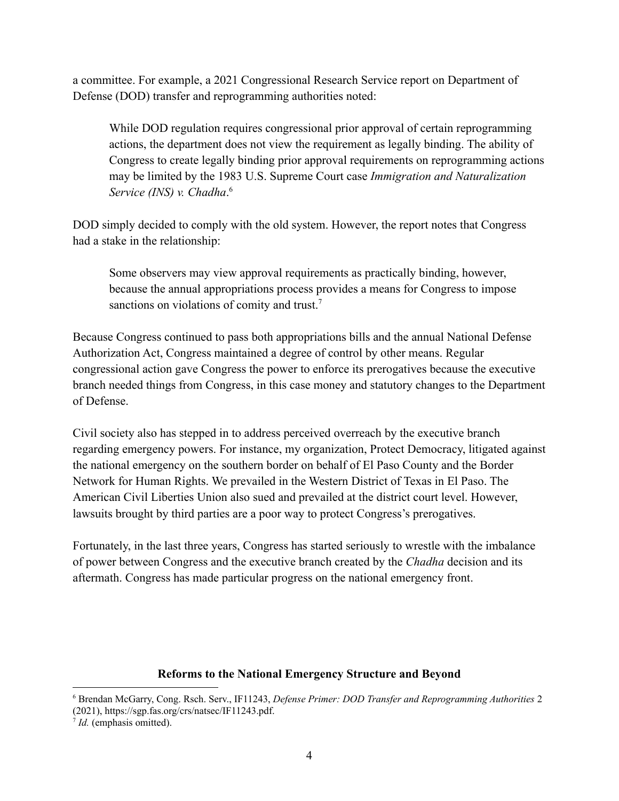a committee. For example, a 2021 Congressional Research Service report on Department of Defense (DOD) transfer and reprogramming authorities noted:

While DOD regulation requires congressional prior approval of certain reprogramming actions, the department does not view the requirement as legally binding. The ability of Congress to create legally binding prior approval requirements on reprogramming actions may be limited by the 1983 U.S. Supreme Court case *Immigration and Naturalization Service (INS) v. Chadha*. 6

DOD simply decided to comply with the old system. However, the report notes that Congress had a stake in the relationship:

Some observers may view approval requirements as practically binding, however, because the annual appropriations process provides a means for Congress to impose sanctions on violations of comity and trust.<sup>7</sup>

Because Congress continued to pass both appropriations bills and the annual National Defense Authorization Act, Congress maintained a degree of control by other means. Regular congressional action gave Congress the power to enforce its prerogatives because the executive branch needed things from Congress, in this case money and statutory changes to the Department of Defense.

Civil society also has stepped in to address perceived overreach by the executive branch regarding emergency powers. For instance, my organization, Protect Democracy, litigated against the national emergency on the southern border on behalf of El Paso County and the Border Network for Human Rights. We prevailed in the Western District of Texas in El Paso. The American Civil Liberties Union also sued and prevailed at the district court level. However, lawsuits brought by third parties are a poor way to protect Congress's prerogatives.

Fortunately, in the last three years, Congress has started seriously to wrestle with the imbalance of power between Congress and the executive branch created by the *Chadha* decision and its aftermath. Congress has made particular progress on the national emergency front.

#### **Reforms to the National Emergency Structure and Beyond**

<sup>6</sup> Brendan McGarry, Cong. Rsch. Serv., IF11243, *Defense Primer: DOD Transfer and Reprogramming Authorities* 2 (2021), https://sgp.fas.org/crs/natsec/IF11243.pdf.

<sup>7</sup> *Id.* (emphasis omitted).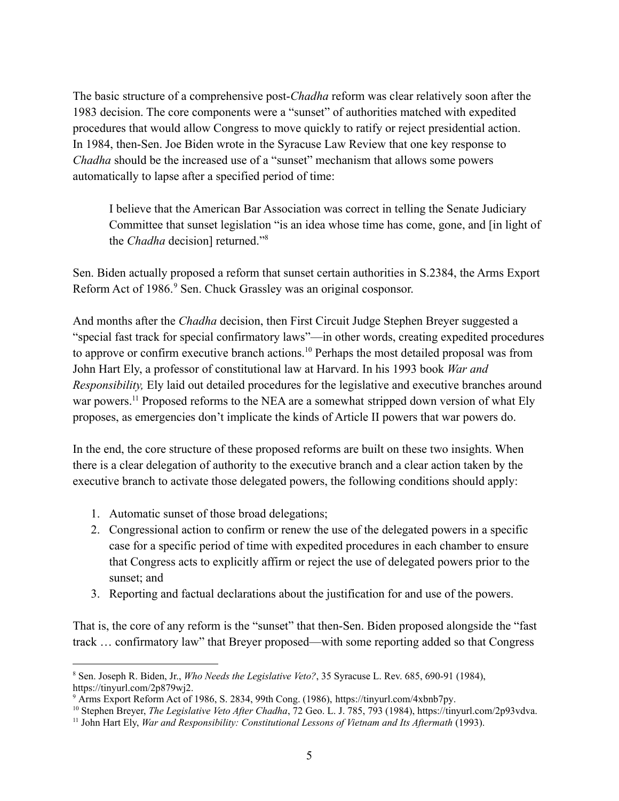The basic structure of a comprehensive post-*Chadha* reform was clear relatively soon after the 1983 decision. The core components were a "sunset" of authorities matched with expedited procedures that would allow Congress to move quickly to ratify or reject presidential action. In 1984, then-Sen. Joe Biden wrote in the Syracuse Law Review that one key response to *Chadha* should be the increased use of a "sunset" mechanism that allows some powers automatically to lapse after a specified period of time:

I believe that the American Bar Association was correct in telling the Senate Judiciary Committee that sunset legislation "is an idea whose time has come, gone, and [in light of the *Chadha* decision] returned."<sup>8</sup>

Sen. Biden actually proposed a reform that sunset certain authorities in S.2384, the Arms Export Reform Act of 1986.<sup>9</sup> Sen. Chuck Grassley was an original cosponsor.

And months after the *Chadha* decision, then First Circuit Judge Stephen Breyer suggested a "special fast track for special confirmatory laws"—in other words, creating expedited procedures to approve or confirm executive branch actions.<sup>10</sup> Perhaps the most detailed proposal was from John Hart Ely, a professor of constitutional law at Harvard. In his 1993 book *War and Responsibility,* Ely laid out detailed procedures for the legislative and executive branches around war powers.<sup>11</sup> Proposed reforms to the NEA are a somewhat stripped down version of what Ely proposes, as emergencies don't implicate the kinds of Article II powers that war powers do.

In the end, the core structure of these proposed reforms are built on these two insights. When there is a clear delegation of authority to the executive branch and a clear action taken by the executive branch to activate those delegated powers, the following conditions should apply:

- 1. Automatic sunset of those broad delegations;
- 2. Congressional action to confirm or renew the use of the delegated powers in a specific case for a specific period of time with expedited procedures in each chamber to ensure that Congress acts to explicitly affirm or reject the use of delegated powers prior to the sunset; and
- 3. Reporting and factual declarations about the justification for and use of the powers.

That is, the core of any reform is the "sunset" that then-Sen. Biden proposed alongside the "fast track … confirmatory law" that Breyer proposed—with some reporting added so that Congress

<sup>8</sup> Sen. Joseph R. Biden, Jr., *Who Needs the Legislative Veto?*, 35 Syracuse L. Rev. 685, 690-91 (1984), [https://tinyurl.com/2p879wj2.](https://tinyurl.com/2p879wj2)

<sup>9</sup> Arms Export Reform Act of 1986, S. 2834, 99th Cong. (1986), [https://tinyurl.com/4xbnb7py.](https://tinyurl.com/4xbnb7py)

<sup>10</sup> Stephen Breyer, *The Legislative Veto After Chadha*, 72 Geo. L. J. 785, 793 (1984), https://tinyurl.com/2p93vdva.

<sup>11</sup> John Hart Ely, *War and Responsibility: Constitutional Lessons of Vietnam and Its Aftermath* (1993).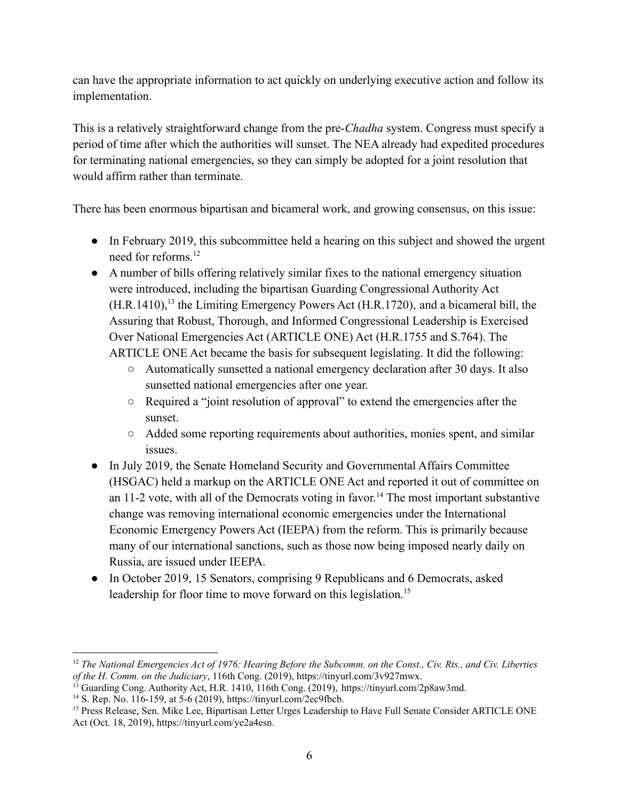can have the appropriate information to act quickly on underlying executive action and follow its implementation.

This is a relatively straightforward change from the pre-*Chadha* system. Congress must specify a period of time after which the authorities will sunset. The NEA already had expedited procedures for terminating national emergencies, so they can simply be adopted for a joint resolution that would affirm rather than terminate.

There has been enormous bipartisan and bicameral work, and growing consensus, on this issue:

- In February 2019, this subcommittee held a hearing on this subject and showed the urgent need for reforms.<sup>12</sup>
- A number of bills offering relatively similar fixes to the national emergency situation were introduced, including the bipartisan Guarding Congressional Authority Act  $(H.R.1410)$ ,<sup>13</sup> the Limiting Emergency Powers Act (H.R.1720), and a bicameral bill, the Assuring that Robust, Thorough, and Informed Congressional Leadership is Exercised Over National Emergencies Act (ARTICLE ONE) Act (H.R.1755 and S.764). The ARTICLE ONE Act became the basis for subsequent legislating. It did the following:
	- Automatically sunsetted a national emergency declaration after 30 days. It also sunsetted national emergencies after one year.
	- Required a "joint resolution of approval" to extend the emergencies after the sunset.
	- Added some reporting requirements about authorities, monies spent, and similar issues.
- In July 2019, the Senate Homeland Security and Governmental Affairs Committee (HSGAC) held a markup on the ARTICLE ONE Act and reported it out of committee on an 11-2 vote, with all of the Democrats voting in favor. <sup>14</sup> The most important substantive change was removing international economic emergencies under the International Economic Emergency Powers Act (IEEPA) from the reform. This is primarily because many of our international sanctions, such as those now being imposed nearly daily on Russia, are issued under IEEPA.
- In October 2019, 15 Senators, comprising 9 Republicans and 6 Democrats, asked leadership for floor time to move forward on this legislation.<sup>15</sup>

 $12$  The National Emergencies Act of 1976: Hearing Before the Subcomm, on the Const., Civ. Rts., and Civ. Liberties *of the H. Comm. on the Judiciary*, 116th Cong. (2019), <https://tinyurl.com/3v927mwx>.

<sup>&</sup>lt;sup>13</sup> Guarding Cong. Authority Act, H.R. 1410, 116th Cong. (2019), <https://tinyurl.com/2p8aw3md>.

<sup>&</sup>lt;sup>14</sup> S. Rep. No. 116-159, at 5-6 (2019), <https://tinyurl.com/2ec9fbcb>.

<sup>&</sup>lt;sup>15</sup> Press Release, Sen. Mike Lee, Bipartisan Letter Urges Leadership to Have Full Senate Consider ARTICLE ONE Act (Oct. 18, 2019), <https://tinyurl.com/ye2a4esn>.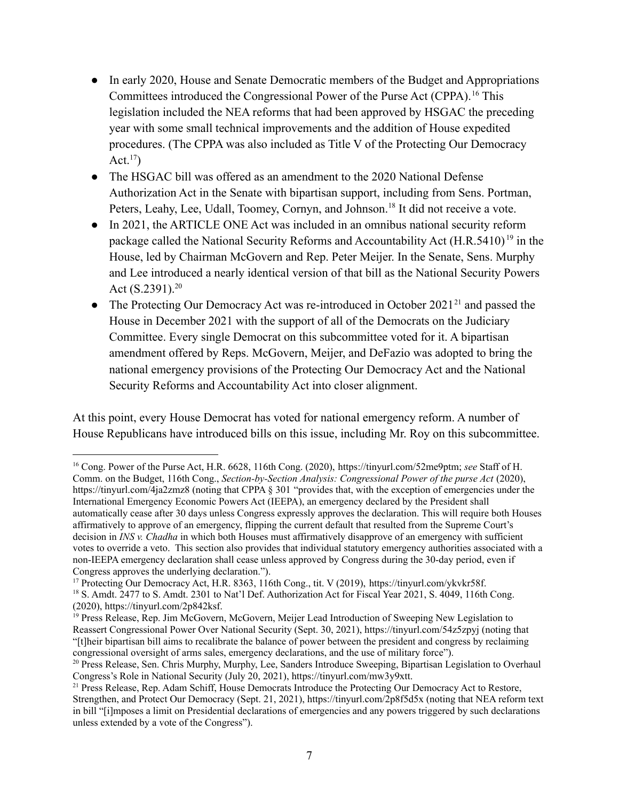- In early 2020, House and Senate Democratic members of the Budget and Appropriations Committees introduced the Congressional Power of the Purse Act (CPPA).<sup>16</sup> This legislation included the NEA reforms that had been approved by HSGAC the preceding year with some small technical improvements and the addition of House expedited procedures. (The CPPA was also included as Title V of the Protecting Our Democracy Act. $17)$
- The HSGAC bill was offered as an amendment to the 2020 National Defense Authorization Act in the Senate with bipartisan support, including from Sens. Portman, Peters, Leahy, Lee, Udall, Toomey, Cornyn, and Johnson.<sup>18</sup> It did not receive a vote.
- In 2021, the ARTICLE ONE Act was included in an omnibus national security reform package called the National Security Reforms and Accountability Act (H.R.5410)<sup>19</sup> in the House, led by Chairman McGovern and Rep. Peter Meijer. In the Senate, Sens. Murphy and Lee introduced a nearly identical version of that bill as the National Security Powers Act  $(S.2391).^{20}$
- The Protecting Our Democracy Act was re-introduced in October 2021<sup>21</sup> and passed the House in December 2021 with the support of all of the Democrats on the Judiciary Committee. Every single Democrat on this subcommittee voted for it. A bipartisan amendment offered by Reps. McGovern, Meijer, and DeFazio was adopted to bring the national emergency provisions of the Protecting Our Democracy Act and the National Security Reforms and Accountability Act into closer alignment.

At this point, every House Democrat has voted for national emergency reform. A number of House Republicans have introduced bills on this issue, including Mr. Roy on this subcommittee.

<sup>17</sup> Protecting Our Democracy Act, H.R. 8363, 116th Cong., tit. V (2019), [https://tinyurl.com/ykvkr58f.](https://tinyurl.com/ykvkr58f)

<sup>16</sup> Cong. Power of the Purse Act, H.R. 6628, 116th Cong. (2020), <https://tinyurl.com/52me9ptm>; *see* Staff of H. Comm. on the Budget, 116th Cong., *Section-by-Section Analysis: Congressional Power of the purse Act* (2020), <https://tinyurl.com/4ja2zmz8> (noting that CPPA § 301 "provides that, with the exception of emergencies under the International Emergency Economic Powers Act (IEEPA), an emergency declared by the President shall automatically cease after 30 days unless Congress expressly approves the declaration. This will require both Houses affirmatively to approve of an emergency, flipping the current default that resulted from the Supreme Court's decision in *INS v. Chadha* in which both Houses must affirmatively disapprove of an emergency with sufficient votes to override a veto. This section also provides that individual statutory emergency authorities associated with a non-IEEPA emergency declaration shall cease unless approved by Congress during the 30-day period, even if Congress approves the underlying declaration.").

<sup>&</sup>lt;sup>18</sup> S. Amdt. 2477 to S. Amdt. 2301 to Nat'l Def. Authorization Act for Fiscal Year 2021, S. 4049, 116th Cong. (2020), [https://tinyurl.com/2p842ksf.](https://tinyurl.com/2p842ksf)

<sup>&</sup>lt;sup>19</sup> Press Release, Rep. Jim McGovern, McGovern, Meijer Lead Introduction of Sweeping New Legislation to Reassert Congressional Power Over National Security (Sept. 30, 2021), https://tinyurl.com/54z5zpyj (noting that "[t]heir bipartisan bill aims to recalibrate the balance of power between the president and congress by reclaiming congressional oversight of arms sales, emergency declarations, and the use of military force").

<sup>&</sup>lt;sup>20</sup> Press Release, Sen. Chris Murphy, Murphy, Lee, Sanders Introduce Sweeping, Bipartisan Legislation to Overhaul Congress's Role in National Security (July 20, 2021), <https://tinyurl.com/mw3y9xtt>.

<sup>&</sup>lt;sup>21</sup> Press Release, Rep. Adam Schiff, House Democrats Introduce the Protecting Our Democracy Act to Restore, Strengthen, and Protect Our Democracy (Sept. 21, 2021), https://tinyurl.com/2p8f5d5x (noting that NEA reform text in bill "[i]mposes a limit on Presidential declarations of emergencies and any powers triggered by such declarations unless extended by a vote of the Congress").